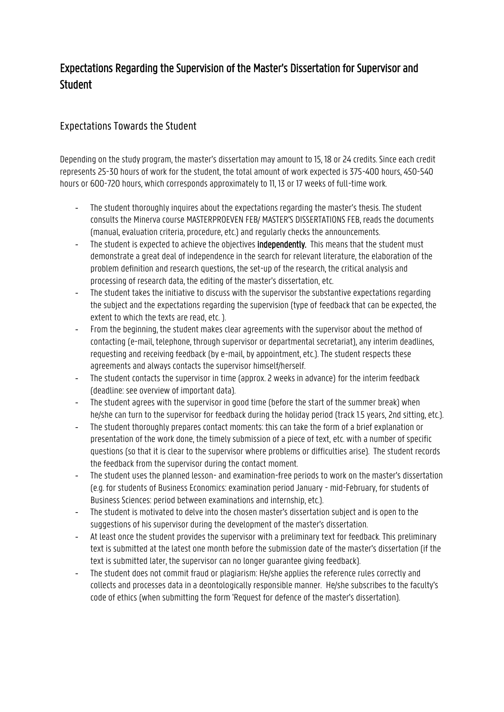## Expectations Regarding the Supervision of the Master's Dissertation for Supervisor and **Student**

## Expectations Towards the Student

Depending on the study program, the master's dissertation may amount to 15, 18 or 24 credits. Since each credit represents 25-30 hours of work for the student, the total amount of work expected is 375-400 hours, 450-540 hours or 600-720 hours, which corresponds approximately to 11, 13 or 17 weeks of full-time work.

- The student thoroughly inquires about the expectations regarding the master's thesis. The student consults the Minerva course MASTERPROEVEN FEB/ MASTER'S DISSERTATIONS FEB, reads the documents (manual, evaluation criteria, procedure, etc.) and regularly checks the announcements.
- The student is expected to achieve the objectives independently. This means that the student must demonstrate a great deal of independence in the search for relevant literature, the elaboration of the problem definition and research questions, the set-up of the research, the critical analysis and processing of research data, the editing of the master's dissertation, etc.
- The student takes the initiative to discuss with the supervisor the substantive expectations regarding the subject and the expectations regarding the supervision (type of feedback that can be expected, the extent to which the texts are read, etc. ).
- From the beginning, the student makes clear agreements with the supervisor about the method of contacting (e-mail, telephone, through supervisor or departmental secretariat), any interim deadlines, requesting and receiving feedback (by e-mail, by appointment, etc.). The student respects these agreements and always contacts the supervisor himself/herself.
- The student contacts the supervisor in time (approx. 2 weeks in advance) for the interim feedback (deadline: see overview of important data).
- The student agrees with the supervisor in good time (before the start of the summer break) when he/she can turn to the supervisor for feedback during the holiday period (track 1.5 years, 2nd sitting, etc.).
- The student thoroughly prepares contact moments: this can take the form of a brief explanation or presentation of the work done, the timely submission of a piece of text, etc. with a number of specific questions (so that it is clear to the supervisor where problems or difficulties arise). The student records the feedback from the supervisor during the contact moment.
- The student uses the planned lesson- and examination-free periods to work on the master's dissertation (e.g. for students of Business Economics: examination period January - mid-February, for students of Business Sciences: period between examinations and internship, etc.).
- The student is motivated to delve into the chosen master's dissertation subject and is open to the suggestions of his supervisor during the development of the master's dissertation.
- At least once the student provides the supervisor with a preliminary text for feedback. This preliminary text is submitted at the latest one month before the submission date of the master's dissertation (if the text is submitted later, the supervisor can no longer guarantee giving feedback).
- The student does not commit fraud or plagiarism: He/she applies the reference rules correctly and collects and processes data in a deontologically responsible manner. He/she subscribes to the faculty's code of ethics (when submitting the form 'Request for defence of the master's dissertation).